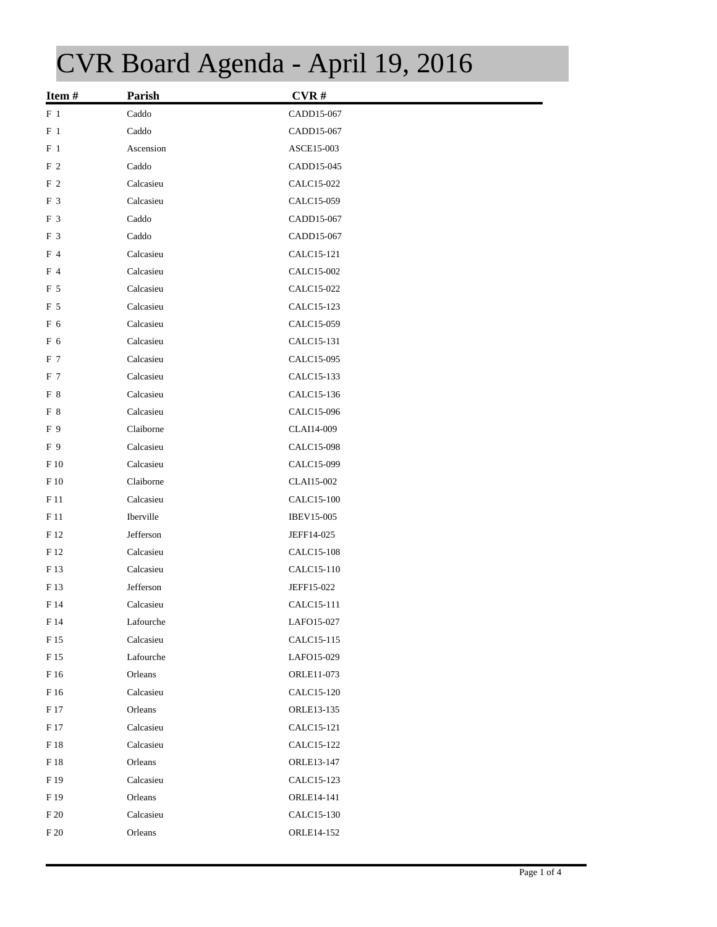## CVR Board Agenda - April 19, 2016

| Item#           | Parish    | CVR#              |  |
|-----------------|-----------|-------------------|--|
| $F_1$           | Caddo     | CADD15-067        |  |
| $F_1$           | Caddo     | CADD15-067        |  |
| F <sub>1</sub>  | Ascension | ASCE15-003        |  |
| F <sub>2</sub>  | Caddo     | CADD15-045        |  |
| F <sub>2</sub>  | Calcasieu | CALC15-022        |  |
| F 3             | Calcasieu | CALC15-059        |  |
| F 3             | Caddo     | CADD15-067        |  |
| F 3             | Caddo     | CADD15-067        |  |
| F 4             | Calcasieu | CALC15-121        |  |
| F 4             | Calcasieu | CALC15-002        |  |
| F 5             | Calcasieu | CALC15-022        |  |
| F 5             | Calcasieu | CALC15-123        |  |
| F 6             | Calcasieu | CALC15-059        |  |
| F 6             | Calcasieu | CALC15-131        |  |
| F 7             | Calcasieu | CALC15-095        |  |
| F 7             | Calcasieu | CALC15-133        |  |
| F 8             | Calcasieu | CALC15-136        |  |
| F 8             | Calcasieu | CALC15-096        |  |
| F 9             | Claiborne | CLAI14-009        |  |
| F 9             | Calcasieu | CALC15-098        |  |
| F 10            | Calcasieu | CALC15-099        |  |
| $F_1$           | Claiborne | CLAI15-002        |  |
| F11             | Calcasieu | CALC15-100        |  |
| F 11            | Iberville | <b>IBEV15-005</b> |  |
| F 12            | Jefferson | JEFF14-025        |  |
| F 12            | Calcasieu | CALC15-108        |  |
| F 13            | Calcasieu | CALC15-110        |  |
| F13             | Jefferson | JEFF15-022        |  |
| F 14            | Calcasieu | CALC15-111        |  |
| $\rm F$ 14      | Lafourche | LAFO15-027        |  |
| F 15            | Calcasieu | CALC15-115        |  |
| F 15            | Lafourche | LAFO15-029        |  |
| $\rm F$ 16      | Orleans   | ORLE11-073        |  |
| F 16            | Calcasieu | CALC15-120        |  |
| F 17            | Orleans   | ORLE13-135        |  |
| $\rm F$ 17      | Calcasieu | CALC15-121        |  |
| $\rm F$ 18      | Calcasieu | CALC15-122        |  |
| F 18            | Orleans   | ORLE13-147        |  |
| $\rm F$ 19      | Calcasieu | CALC15-123        |  |
| F 19            | Orleans   | ORLE14-141        |  |
| F <sub>20</sub> | Calcasieu | CALC15-130        |  |
| $\rm F$ 20      | Orleans   | ORLE14-152        |  |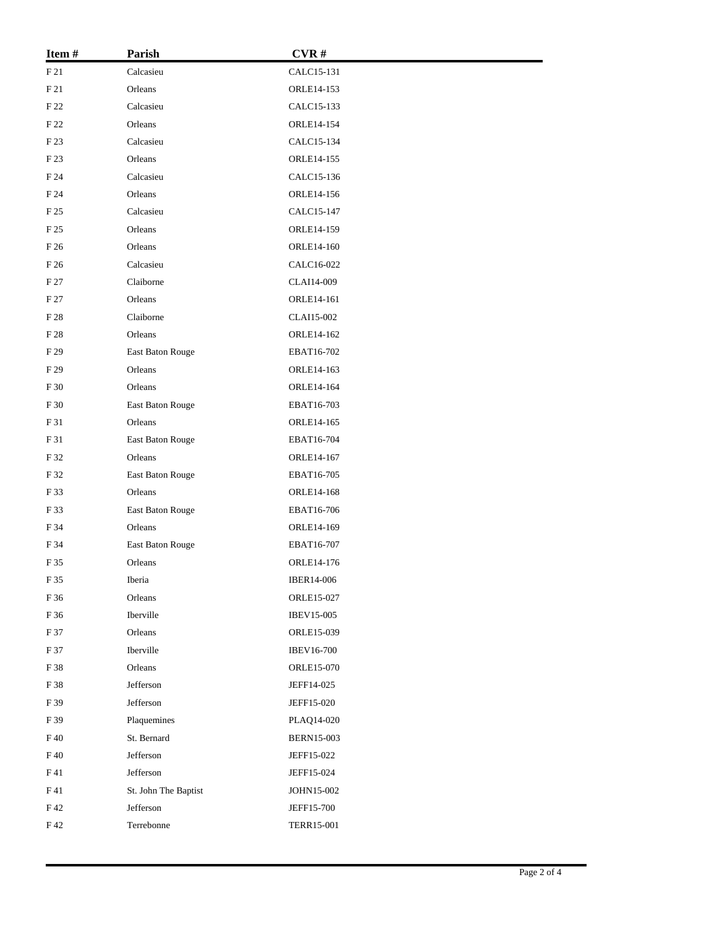| Item#      | Parish               | CVR#              |
|------------|----------------------|-------------------|
| F21        | Calcasieu            | CALC15-131        |
| $\rm F$ 21 | Orleans              | ORLE14-153        |
| F 22       | Calcasieu            | CALC15-133        |
| F 22       | Orleans              | ORLE14-154        |
| F 23       | Calcasieu            | CALC15-134        |
| F 23       | Orleans              | ORLE14-155        |
| F 24       | Calcasieu            | CALC15-136        |
| F 24       | Orleans              | ORLE14-156        |
| F 25       | Calcasieu            | CALC15-147        |
| F 25       | Orleans              | ORLE14-159        |
| F 26       | Orleans              | ORLE14-160        |
| F 26       | Calcasieu            | CALC16-022        |
| F 27       | Claiborne            | CLAI14-009        |
| F 27       | Orleans              | ORLE14-161        |
| F 28       | Claiborne            | CLAI15-002        |
| F 28       | Orleans              | ORLE14-162        |
| F 29       | East Baton Rouge     | EBAT16-702        |
| F 29       | Orleans              | ORLE14-163        |
| F 30       | Orleans              | ORLE14-164        |
| F 30       | East Baton Rouge     | EBAT16-703        |
| F 31       | Orleans              | ORLE14-165        |
| F 31       | East Baton Rouge     | EBAT16-704        |
| F 32       | Orleans              | ORLE14-167        |
| F 32       | East Baton Rouge     | EBAT16-705        |
| F 33       | Orleans              | ORLE14-168        |
| F 33       | East Baton Rouge     | EBAT16-706        |
| F 34       | Orleans              | ORLE14-169        |
| F 34       | East Baton Rouge     | EBAT16-707        |
| F 35       | Orleans              | ORLE14-176        |
| F 35       | Iberia               | IBER14-006        |
| F 36       | Orleans              | ORLE15-027        |
| F 36       | Iberville            | IBEV15-005        |
| F 37       | Orleans              | ORLE15-039        |
| F 37       | Iberville            | <b>IBEV16-700</b> |
| F 38       | Orleans              | ORLE15-070        |
| F 38       | Jefferson            | JEFF14-025        |
| F 39       | Jefferson            | JEFF15-020        |
| F 39       | Plaquemines          | PLAQ14-020        |
| F 40       | St. Bernard          | <b>BERN15-003</b> |
| F 40       | Jefferson            | JEFF15-022        |
| F41        | Jefferson            | JEFF15-024        |
| F 41       | St. John The Baptist | JOHN15-002        |
| F42        | Jefferson            | JEFF15-700        |
| F 42       | Terrebonne           | <b>TERR15-001</b> |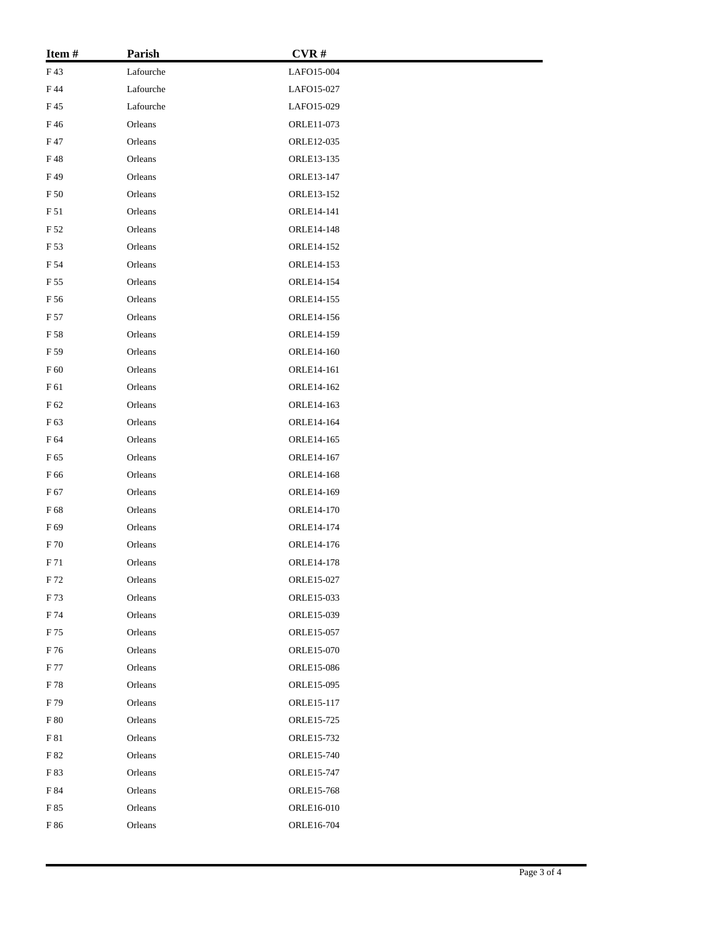| Item#         | Parish    | CVR#              |  |
|---------------|-----------|-------------------|--|
| F43           | Lafourche | LAFO15-004        |  |
| F 44          | Lafourche | LAFO15-027        |  |
| F 45          | Lafourche | LAFO15-029        |  |
| F46           | Orleans   | ORLE11-073        |  |
| F 47          | Orleans   | ORLE12-035        |  |
| F48           | Orleans   | ORLE13-135        |  |
| F49           | Orleans   | ORLE13-147        |  |
| F 50          | Orleans   | ORLE13-152        |  |
| F 51          | Orleans   | ORLE14-141        |  |
| F 52          | Orleans   | ORLE14-148        |  |
| F 53          | Orleans   | ORLE14-152        |  |
| F 54          | Orleans   | ORLE14-153        |  |
| F 55          | Orleans   | ORLE14-154        |  |
| F 56          | Orleans   | ORLE14-155        |  |
| F 57          | Orleans   | ORLE14-156        |  |
| F 58          | Orleans   | ORLE14-159        |  |
| F 59          | Orleans   | ORLE14-160        |  |
| F 60          | Orleans   | ORLE14-161        |  |
| F 61          | Orleans   | ORLE14-162        |  |
| $\rm F$ 62    | Orleans   | ORLE14-163        |  |
| F 63          | Orleans   | ORLE14-164        |  |
| F 64          | Orleans   | ORLE14-165        |  |
| F 65          | Orleans   | ORLE14-167        |  |
| F 66          | Orleans   | ORLE14-168        |  |
| F 67          | Orleans   | ORLE14-169        |  |
| F 68          | Orleans   | ORLE14-170        |  |
| F 69          | Orleans   | ORLE14-174        |  |
| ${\rm F}\,70$ | Orleans   | ORLE14-176        |  |
| F 71          | Orleans   | <b>ORLE14-178</b> |  |
| F 72          | Orleans   | ORLE15-027        |  |
| F 73          | Orleans   | ORLE15-033        |  |
| F 74          | Orleans   | ORLE15-039        |  |
| F 75          | Orleans   | ORLE15-057        |  |
| F 76          | Orleans   | ORLE15-070        |  |
| F 77          | Orleans   | ORLE15-086        |  |
| F 78          | Orleans   | ORLE15-095        |  |
| F 79          | Orleans   | ORLE15-117        |  |
| F 80          | Orleans   | ORLE15-725        |  |
| F 81          | Orleans   | ORLE15-732        |  |
| F 82          | Orleans   | ORLE15-740        |  |
| F 83          | Orleans   | ORLE15-747        |  |
| F 84          | Orleans   | ORLE15-768        |  |
| F 85          | Orleans   | ORLE16-010        |  |
| $\rm{F}$ 86   | Orleans   | ORLE16-704        |  |